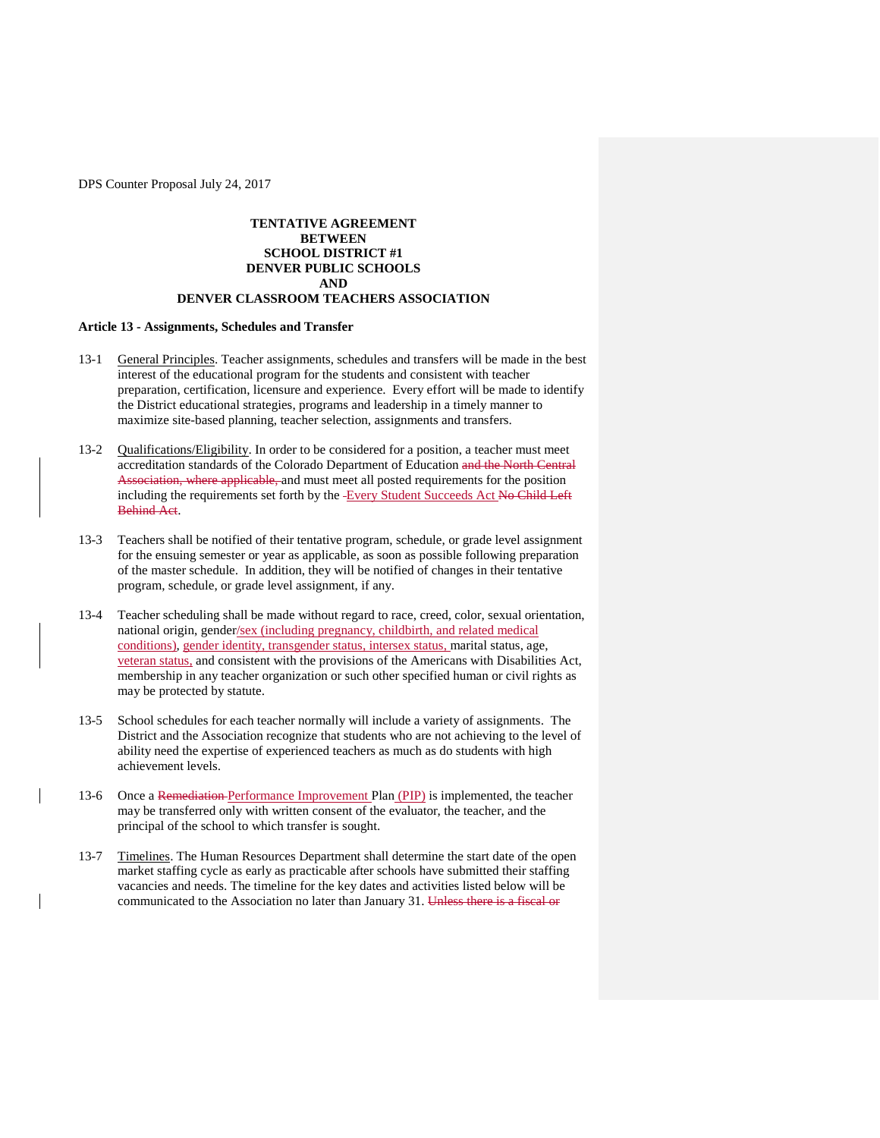## **TENTATIVE AGREEMENT BETWEEN SCHOOL DISTRICT #1 DENVER PUBLIC SCHOOLS AND**

# **DENVER CLASSROOM TEACHERS ASSOCIATION**

## **Article 13 - Assignments, Schedules and Transfer**

- 13-1 General Principles. Teacher assignments, schedules and transfers will be made in the best interest of the educational program for the students and consistent with teacher preparation, certification, licensure and experience. Every effort will be made to identify the District educational strategies, programs and leadership in a timely manner to maximize site-based planning, teacher selection, assignments and transfers.
- 13-2 Qualifications/Eligibility. In order to be considered for a position, a teacher must meet accreditation standards of the Colorado Department of Education and the North Central Association, where applicable, and must meet all posted requirements for the position including the requirements set forth by the -Every Student Succeeds Act No Child Left Behind Act.
- 13-3 Teachers shall be notified of their tentative program, schedule, or grade level assignment for the ensuing semester or year as applicable, as soon as possible following preparation of the master schedule. In addition, they will be notified of changes in their tentative program, schedule, or grade level assignment, if any.
- 13-4 Teacher scheduling shall be made without regard to race, creed, color, sexual orientation, national origin, gender/sex (including pregnancy, childbirth, and related medical conditions), gender identity, transgender status, intersex status, marital status, age, veteran status, and consistent with the provisions of the Americans with Disabilities Act, membership in any teacher organization or such other specified human or civil rights as may be protected by statute.
- 13-5 School schedules for each teacher normally will include a variety of assignments. The District and the Association recognize that students who are not achieving to the level of ability need the expertise of experienced teachers as much as do students with high achievement levels.
- 13-6 Once a Remediation Performance Improvement Plan (PIP) is implemented, the teacher may be transferred only with written consent of the evaluator, the teacher, and the principal of the school to which transfer is sought.
- 13-7 Timelines. The Human Resources Department shall determine the start date of the open market staffing cycle as early as practicable after schools have submitted their staffing vacancies and needs. The timeline for the key dates and activities listed below will be communicated to the Association no later than January 31. Unless there is a fiscal or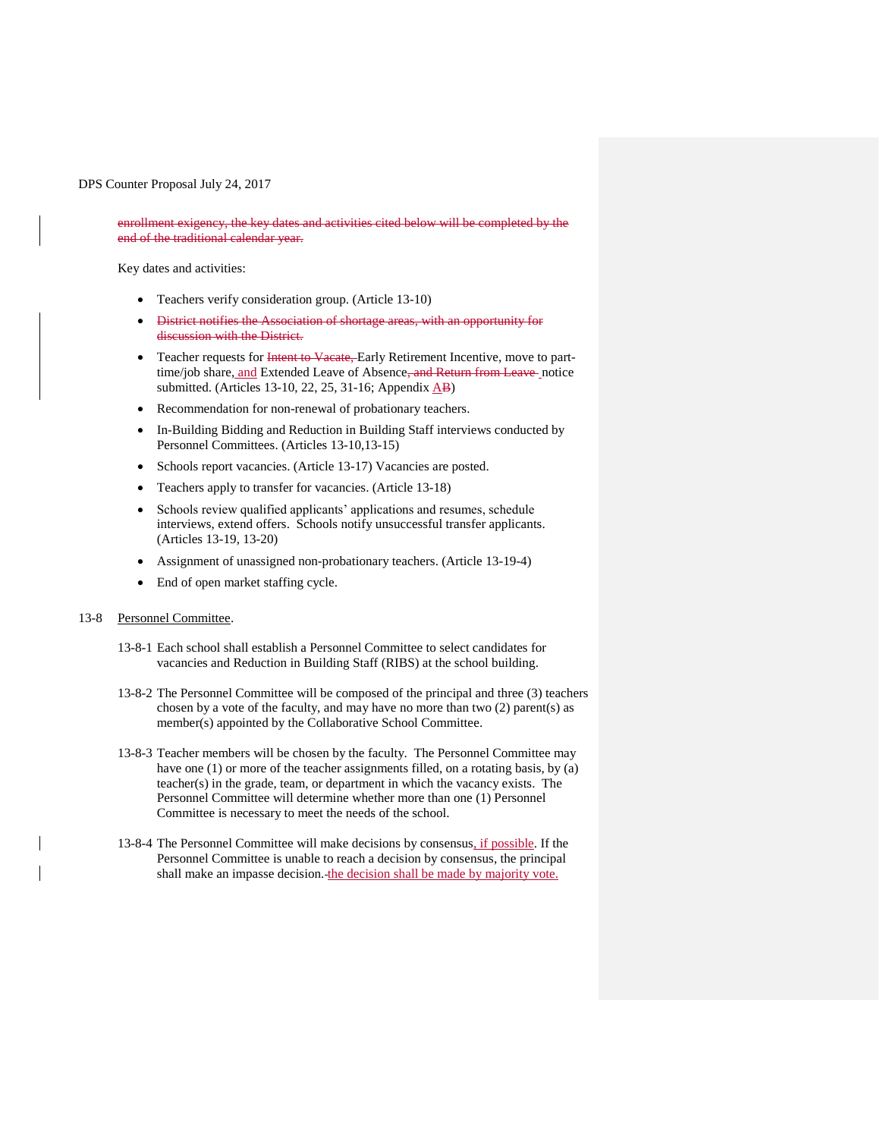enrollment exigency, the key dates and activities cited below will be completed by the end of the traditional calendar year.

Key dates and activities:

- Teachers verify consideration group. (Article 13-10)
- District notifies the Association of shortage areas, with an opportunity for discussion with the District.
- Teacher requests for Intent to Vacate, Early Retirement Incentive, move to parttime/job share, and Extended Leave of Absence<del>, and Return from Leave</del> notice submitted. (Articles 13-10, 22, 25, 31-16; Appendix  $\overrightarrow{AB}$ )
- Recommendation for non-renewal of probationary teachers.
- In-Building Bidding and Reduction in Building Staff interviews conducted by Personnel Committees. (Articles 13-10,13-15)
- Schools report vacancies. (Article 13-17) Vacancies are posted.
- Teachers apply to transfer for vacancies. (Article 13-18)
- Schools review qualified applicants' applications and resumes, schedule interviews, extend offers. Schools notify unsuccessful transfer applicants. (Articles 13-19, 13-20)
- Assignment of unassigned non-probationary teachers. (Article 13-19-4)
- End of open market staffing cycle.

### 13-8 Personnel Committee.

- 13-8-1 Each school shall establish a Personnel Committee to select candidates for vacancies and Reduction in Building Staff (RIBS) at the school building.
- 13-8-2 The Personnel Committee will be composed of the principal and three (3) teachers chosen by a vote of the faculty, and may have no more than two (2) parent(s) as member(s) appointed by the Collaborative School Committee.
- 13-8-3 Teacher members will be chosen by the faculty. The Personnel Committee may have one (1) or more of the teacher assignments filled, on a rotating basis, by (a) teacher(s) in the grade, team, or department in which the vacancy exists. The Personnel Committee will determine whether more than one (1) Personnel Committee is necessary to meet the needs of the school.
- 13-8-4 The Personnel Committee will make decisions by consensus, if possible. If the Personnel Committee is unable to reach a decision by consensus, the principal shall make an impasse decision. the decision shall be made by majority vote.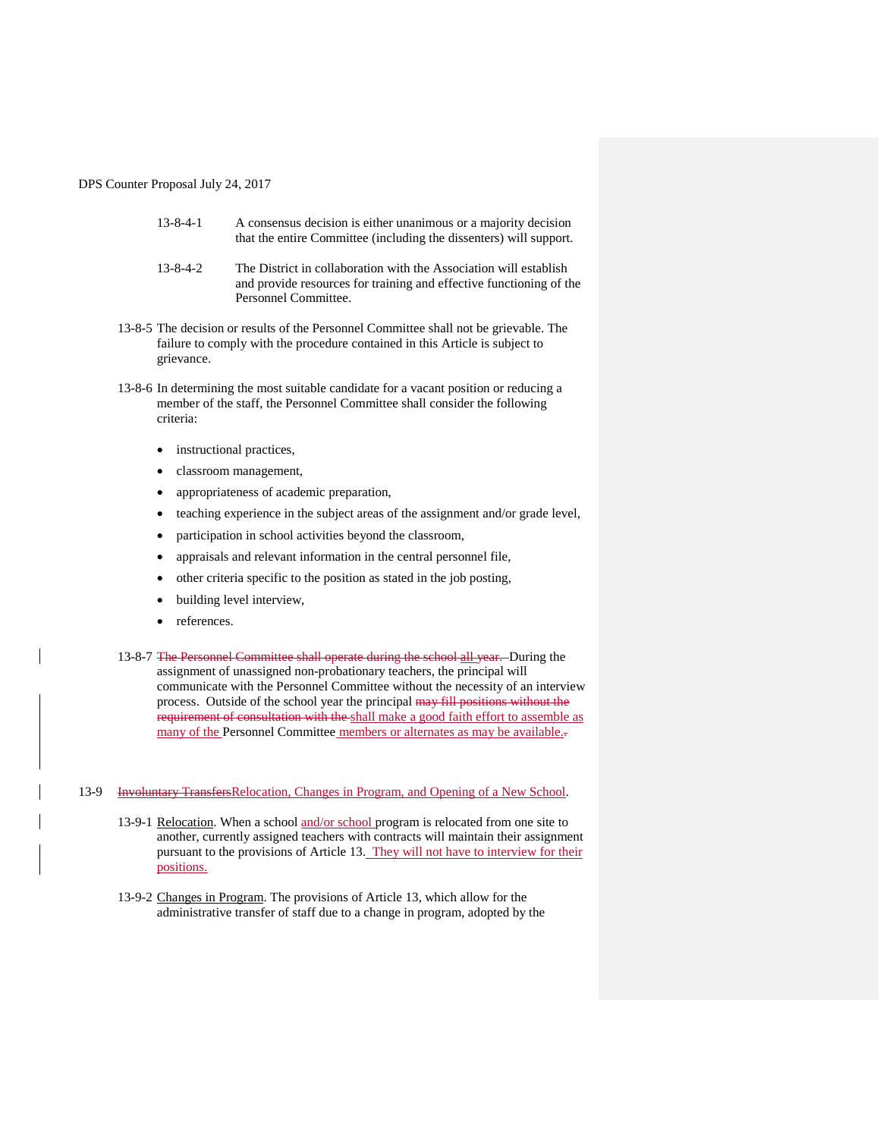- 13-8-4-1 A consensus decision is either unanimous or a majority decision that the entire Committee (including the dissenters) will support.
- 13-8-4-2 The District in collaboration with the Association will establish and provide resources for training and effective functioning of the Personnel Committee.
- 13-8-5 The decision or results of the Personnel Committee shall not be grievable. The failure to comply with the procedure contained in this Article is subject to grievance.
- 13-8-6 In determining the most suitable candidate for a vacant position or reducing a member of the staff, the Personnel Committee shall consider the following criteria:
	- instructional practices,
	- classroom management,
	- appropriateness of academic preparation,
	- teaching experience in the subject areas of the assignment and/or grade level,
	- participation in school activities beyond the classroom,
	- appraisals and relevant information in the central personnel file,
	- other criteria specific to the position as stated in the job posting,
	- building level interview,
	- references.
- 13-8-7 The Personnel Committee shall operate during the school all year. During the assignment of unassigned non-probationary teachers, the principal will communicate with the Personnel Committee without the necessity of an interview process. Outside of the school year the principal may fill positions without the requirement of consultation with the shall make a good faith effort to assemble as many of the Personnel Committee members or alternates as may be available...

## 13-9 Involuntary TransfersRelocation, Changes in Program, and Opening of a New School.

- 13-9-1 Relocation. When a school and/or school program is relocated from one site to another, currently assigned teachers with contracts will maintain their assignment pursuant to the provisions of Article 13. They will not have to interview for their positions.
- 13-9-2 Changes in Program. The provisions of Article 13, which allow for the administrative transfer of staff due to a change in program, adopted by the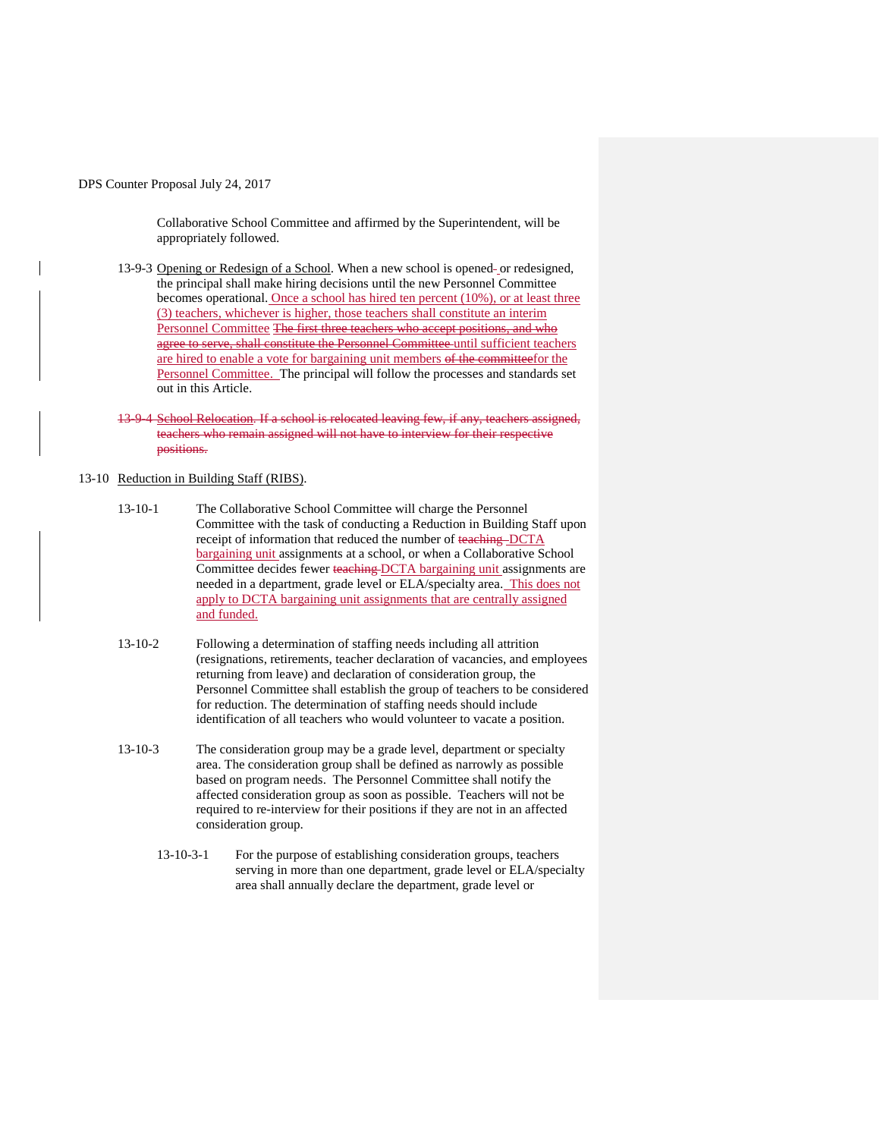Collaborative School Committee and affirmed by the Superintendent, will be appropriately followed.

13-9-3 Opening or Redesign of a School. When a new school is opened-or redesigned, the principal shall make hiring decisions until the new Personnel Committee becomes operational. Once a school has hired ten percent (10%), or at least three (3) teachers, whichever is higher, those teachers shall constitute an interim Personnel Committee The first three teachers who accept positions, and who agree to serve, shall constitute the Personnel Committee until sufficient teachers are hired to enable a vote for bargaining unit members of the committeefor the Personnel Committee. The principal will follow the processes and standards set out in this Article.

13-9-4 School Relocation. If a school is relocated leaving few, if any, teachers assigned, teachers who remain assigned will not have to interview for their respective positions.

## 13-10 Reduction in Building Staff (RIBS).

- 13-10-1 The Collaborative School Committee will charge the Personnel Committee with the task of conducting a Reduction in Building Staff upon receipt of information that reduced the number of teaching-DCTA bargaining unit assignments at a school, or when a Collaborative School Committee decides fewer teaching DCTA bargaining unit assignments are needed in a department, grade level or ELA/specialty area. This does not apply to DCTA bargaining unit assignments that are centrally assigned and funded.
- 13-10-2 Following a determination of staffing needs including all attrition (resignations, retirements, teacher declaration of vacancies, and employees returning from leave) and declaration of consideration group, the Personnel Committee shall establish the group of teachers to be considered for reduction. The determination of staffing needs should include identification of all teachers who would volunteer to vacate a position.
- 13-10-3 The consideration group may be a grade level, department or specialty area. The consideration group shall be defined as narrowly as possible based on program needs. The Personnel Committee shall notify the affected consideration group as soon as possible. Teachers will not be required to re-interview for their positions if they are not in an affected consideration group.
	- 13-10-3-1 For the purpose of establishing consideration groups, teachers serving in more than one department, grade level or ELA/specialty area shall annually declare the department, grade level or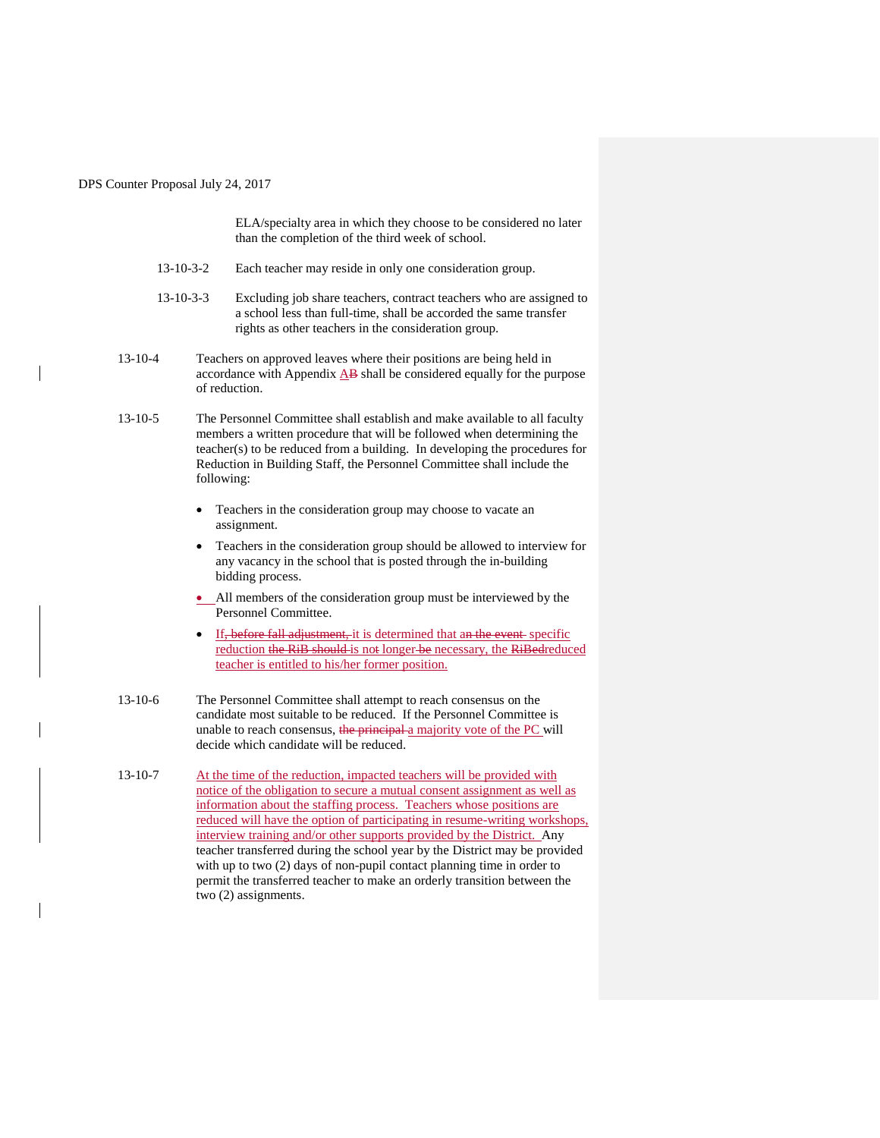ELA/specialty area in which they choose to be considered no later than the completion of the third week of school.

- 13-10-3-2 Each teacher may reside in only one consideration group.
- 13-10-3-3 Excluding job share teachers, contract teachers who are assigned to a school less than full-time, shall be accorded the same transfer rights as other teachers in the consideration group.
- 13-10-4 Teachers on approved leaves where their positions are being held in accordance with Appendix AB shall be considered equally for the purpose of reduction.
- 13-10-5 The Personnel Committee shall establish and make available to all faculty members a written procedure that will be followed when determining the teacher(s) to be reduced from a building. In developing the procedures for Reduction in Building Staff, the Personnel Committee shall include the following:
	- Teachers in the consideration group may choose to vacate an assignment.
	- Teachers in the consideration group should be allowed to interview for any vacancy in the school that is posted through the in-building bidding process.
	- All members of the consideration group must be interviewed by the Personnel Committee.
	- If, before fall adjustment, it is determined that an the event specific reduction the RiB should is not longer be necessary, the RiBedreduced teacher is entitled to his/her former position.
- 13-10-6 The Personnel Committee shall attempt to reach consensus on the candidate most suitable to be reduced. If the Personnel Committee is unable to reach consensus, the principal a majority vote of the PC will decide which candidate will be reduced.
- 13-10-7 At the time of the reduction, impacted teachers will be provided with notice of the obligation to secure a mutual consent assignment as well as information about the staffing process. Teachers whose positions are reduced will have the option of participating in resume-writing workshops, interview training and/or other supports provided by the District. Any teacher transferred during the school year by the District may be provided with up to two (2) days of non-pupil contact planning time in order to permit the transferred teacher to make an orderly transition between the two (2) assignments.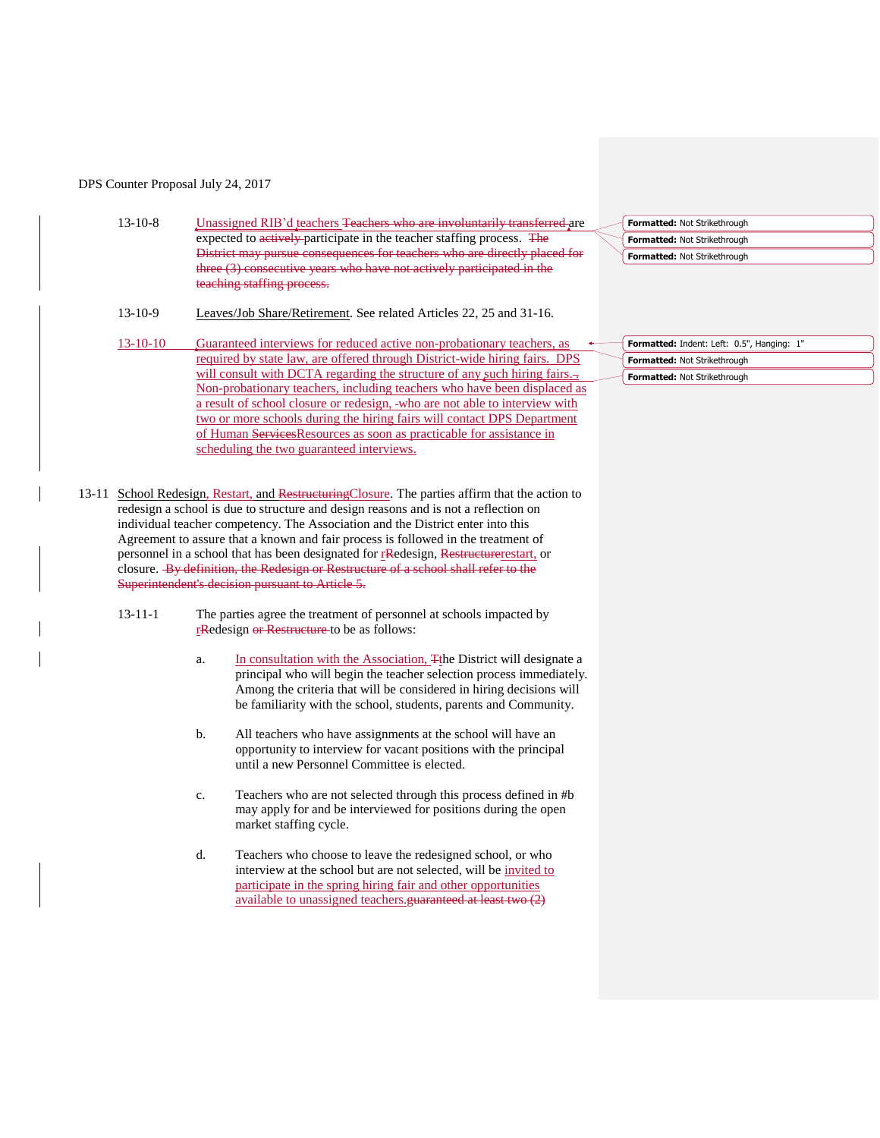|       | $13 - 10 - 8$                                                                                                                                                             | Unassigned RIB'd teachers Teachers who are involuntarily transferred are                                         |  | Formatted: Not Strikethrough               |
|-------|---------------------------------------------------------------------------------------------------------------------------------------------------------------------------|------------------------------------------------------------------------------------------------------------------|--|--------------------------------------------|
|       |                                                                                                                                                                           | expected to actively-participate in the teacher staffing process. The                                            |  | Formatted: Not Strikethrough               |
|       |                                                                                                                                                                           | District may pursue consequences for teachers who are directly placed for                                        |  | Formatted: Not Strikethrough               |
|       |                                                                                                                                                                           | three (3) consecutive years who have not actively participated in the                                            |  |                                            |
|       |                                                                                                                                                                           | teaching staffing process.                                                                                       |  |                                            |
|       | $13 - 10 - 9$                                                                                                                                                             | Leaves/Job Share/Retirement. See related Articles 22, 25 and 31-16.                                              |  |                                            |
|       | $13 - 10 - 10$                                                                                                                                                            | Guaranteed interviews for reduced active non-probationary teachers, as                                           |  | Formatted: Indent: Left: 0.5", Hanging: 1" |
|       |                                                                                                                                                                           | required by state law, are offered through District-wide hiring fairs. DPS                                       |  | Formatted: Not Strikethrough               |
|       |                                                                                                                                                                           | will consult with DCTA regarding the structure of any such hiring fairs.                                         |  | Formatted: Not Strikethrough               |
|       |                                                                                                                                                                           | Non-probationary teachers, including teachers who have been displaced as                                         |  |                                            |
|       |                                                                                                                                                                           | a result of school closure or redesign, -who are not able to interview with                                      |  |                                            |
|       |                                                                                                                                                                           | two or more schools during the hiring fairs will contact DPS Department                                          |  |                                            |
|       |                                                                                                                                                                           | of Human ServicesResources as soon as practicable for assistance in<br>scheduling the two guaranteed interviews. |  |                                            |
|       |                                                                                                                                                                           |                                                                                                                  |  |                                            |
|       |                                                                                                                                                                           |                                                                                                                  |  |                                            |
| 13-11 |                                                                                                                                                                           | School Redesign, Restart, and Restructuring Closure. The parties affirm that the action to                       |  |                                            |
|       |                                                                                                                                                                           | redesign a school is due to structure and design reasons and is not a reflection on                              |  |                                            |
|       | individual teacher competency. The Association and the District enter into this                                                                                           |                                                                                                                  |  |                                            |
|       | Agreement to assure that a known and fair process is followed in the treatment of<br>personnel in a school that has been designated for redesign, Restructure restart, or |                                                                                                                  |  |                                            |
|       |                                                                                                                                                                           |                                                                                                                  |  |                                            |
|       |                                                                                                                                                                           | closure. By definition, the Redesign or Restructure of a school shall refer to the                               |  |                                            |
|       |                                                                                                                                                                           | Superintendent's decision pursuant to Article 5.                                                                 |  |                                            |
|       |                                                                                                                                                                           |                                                                                                                  |  |                                            |
|       | $13 - 11 - 1$                                                                                                                                                             | The parties agree the treatment of personnel at schools impacted by                                              |  |                                            |
|       |                                                                                                                                                                           | redesign or Restructure to be as follows:                                                                        |  |                                            |
|       |                                                                                                                                                                           |                                                                                                                  |  |                                            |

- a. In consultation with the Association,  $\frac{m}{n}$  The District will designate a principal who will begin the teacher selection process immediately. Among the criteria that will be considered in hiring decisions will be familiarity with the school, students, parents and Community.
- b. All teachers who have assignments at the school will have an opportunity to interview for vacant positions with the principal until a new Personnel Committee is elected.
- c. Teachers who are not selected through this process defined in #b may apply for and be interviewed for positions during the open market staffing cycle.
- d. Teachers who choose to leave the redesigned school, or who interview at the school but are not selected, will be invited to participate in the spring hiring fair and other opportunities available to unassigned teachers.guaranteed at least two (2)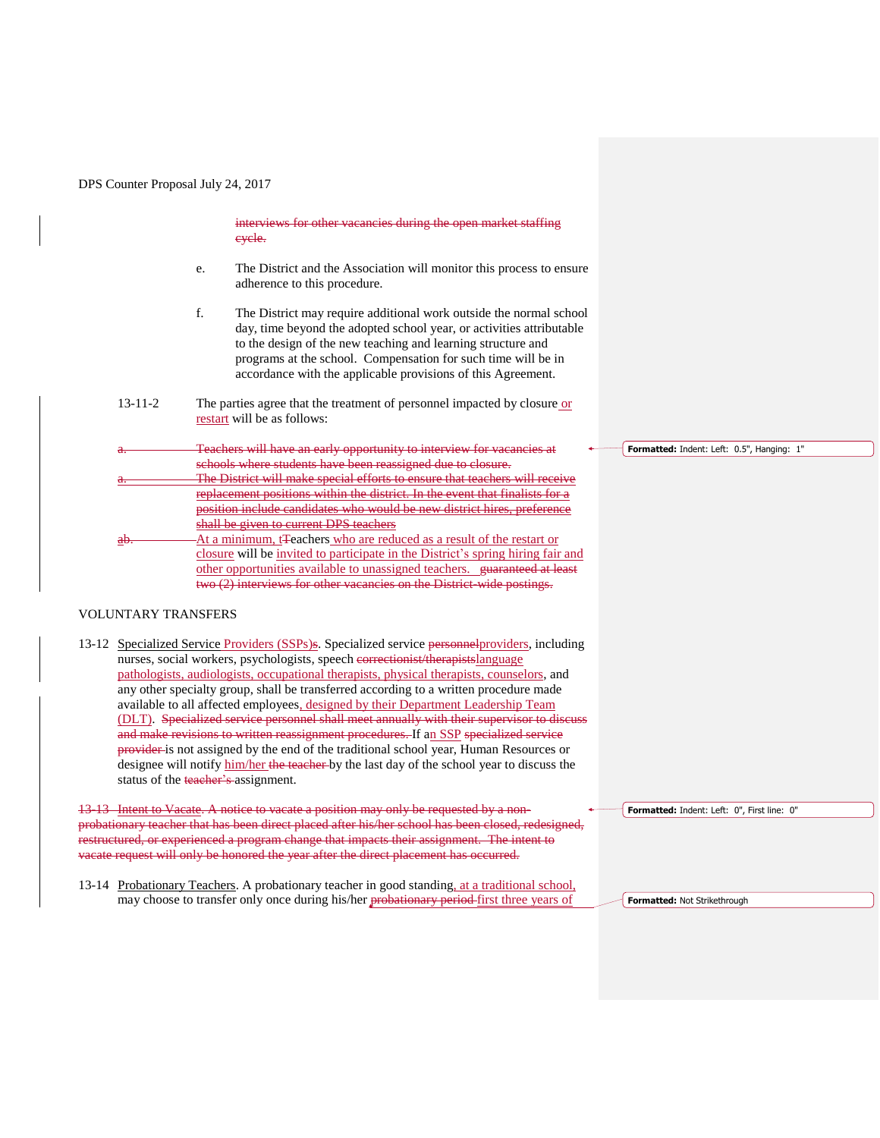interviews for other vacancies during the open market staffing cycle.

- e. The District and the Association will monitor this process to ensure adherence to this procedure.
- f. The District may require additional work outside the normal school day, time beyond the adopted school year, or activities attributable to the design of the new teaching and learning structure and programs at the school. Compensation for such time will be in accordance with the applicable provisions of this Agreement.
- 13-11-2 The parties agree that the treatment of personnel impacted by closure or restart will be as follows:
- Teachers will have an early opportunity to interview for vacancies at schools where students have been reassigned due to closure. The District will make special efforts to ensure that teachers will replacement positions within the district. In the event that finalists for a position include candidates who would be new district hires, preference shall be given to current DPS teachers At a minimum, t<sub>T</sub>eachers who are reduced as a result of the restart or closure will be invited to participate in the District's spring hiring fair and other opportunities available to unassigned teachers. guaranteed at least two (2) interviews for other vacancies on the District-wide postings. **Formatted:** Indent: Left: 0.5", Hanging: 1"

## VOLUNTARY TRANSFERS

13-12 Specialized Service Providers (SSPs)s. Specialized service personnel providers, including nurses, social workers, psychologists, speech correctionist/therapistslanguage pathologists, audiologists, occupational therapists, physical therapists, counselors, and any other specialty group, shall be transferred according to a written procedure made available to all affected employees, designed by their Department Leadership Team (DLT). Specialized service personnel shall meet annually with their supervisor to discuss and make revisions to written reassignment procedures. If an SSP specialized service provider is not assigned by the end of the traditional school year, Human Resources or designee will notify him/her the teacher by the last day of the school year to discuss the status of the teacher's assignment.

13-13 Intent to Vacate. A notice to vacate a position may only be requested by a nonprobationary teacher that has been direct placed after his/her school has been closed, redesigned, restructured, or experienced a program change that impacts their assignment. The intent to vacate request will only be honored the year after the direct placement has occurred.

13-14 Probationary Teachers. A probationary teacher in good standing, at a traditional school, may choose to transfer only once during his/her probationary period-first three years of

**Formatted:** Indent: Left: 0", First line: 0"

**Formatted:** Not Strikethrough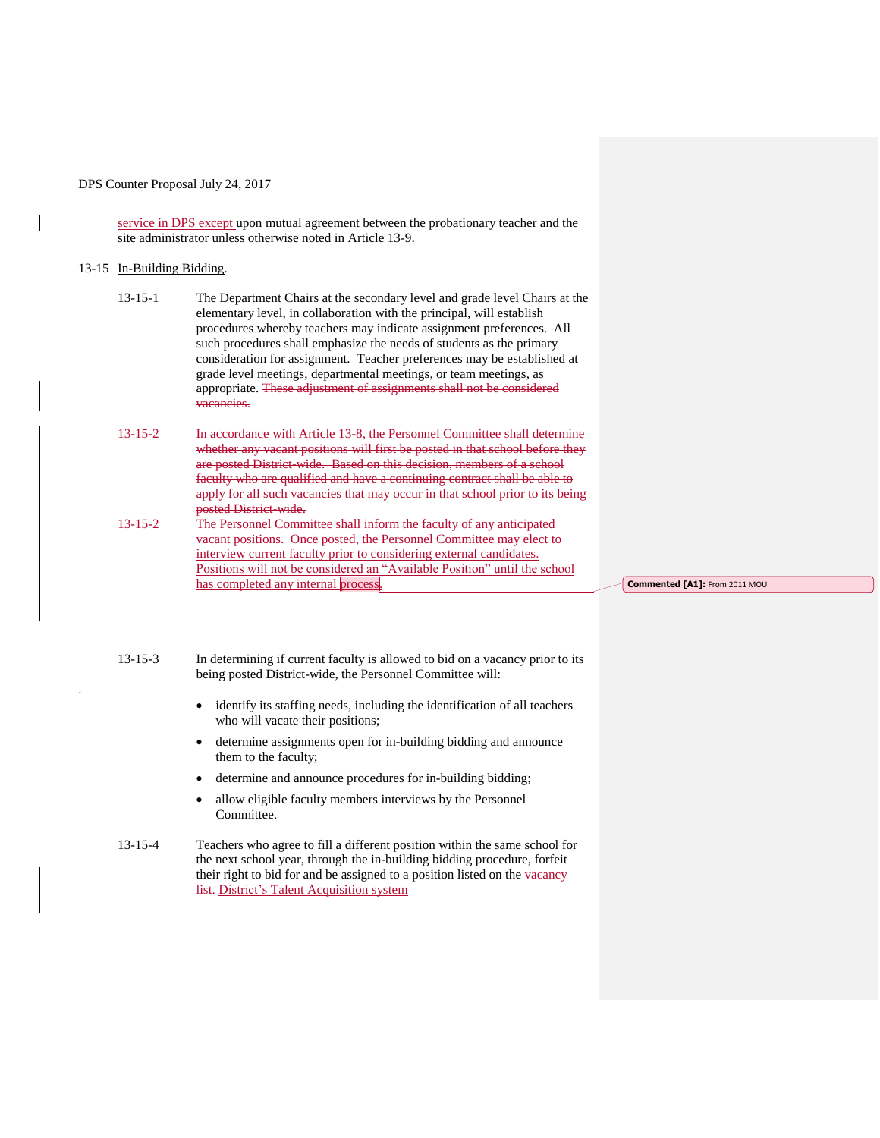service in DPS except upon mutual agreement between the probationary teacher and the site administrator unless otherwise noted in Article 13-9.

## 13-15 In-Building Bidding.

.

| $13 - 15 - 1$ | The Department Chairs at the secondary level and grade level Chairs at the<br>elementary level, in collaboration with the principal, will establish<br>procedures whereby teachers may indicate assignment preferences. All |
|---------------|-----------------------------------------------------------------------------------------------------------------------------------------------------------------------------------------------------------------------------|
|               | such procedures shall emphasize the needs of students as the primary<br>consideration for assignment. Teacher preferences may be established at                                                                             |
|               | grade level meetings, departmental meetings, or team meetings, as<br>appropriate. These adjustment of assignments shall not be considered                                                                                   |

13-15-2 In accordance with Article 13-8, the Personnel Committee shall determine whether any vacant positions will first be posted in that school before they are posted District-wide. Based on this decision, members of a school faculty who are qualified and have a continuing contract shall be able to apply for all such vacancies that may occur in that school prior to its being posted District-wide.

13-15-2 The Personnel Committee shall inform the faculty of any anticipated vacant positions. Once posted, the Personnel Committee may elect to interview current faculty prior to considering external candidates. Positions will not be considered an "Available Position" until the school has completed any internal process.

**Commented [A1]:** From 2011 MOU

13-15-3 In determining if current faculty is allowed to bid on a vacancy prior to its being posted District-wide, the Personnel Committee will:

- identify its staffing needs, including the identification of all teachers who will vacate their positions;
- determine assignments open for in-building bidding and announce them to the faculty;
- determine and announce procedures for in-building bidding;
- allow eligible faculty members interviews by the Personnel Committee.

13-15-4 Teachers who agree to fill a different position within the same school for the next school year, through the in-building bidding procedure, forfeit their right to bid for and be assigned to a position listed on the vacancy list. District's Talent Acquisition system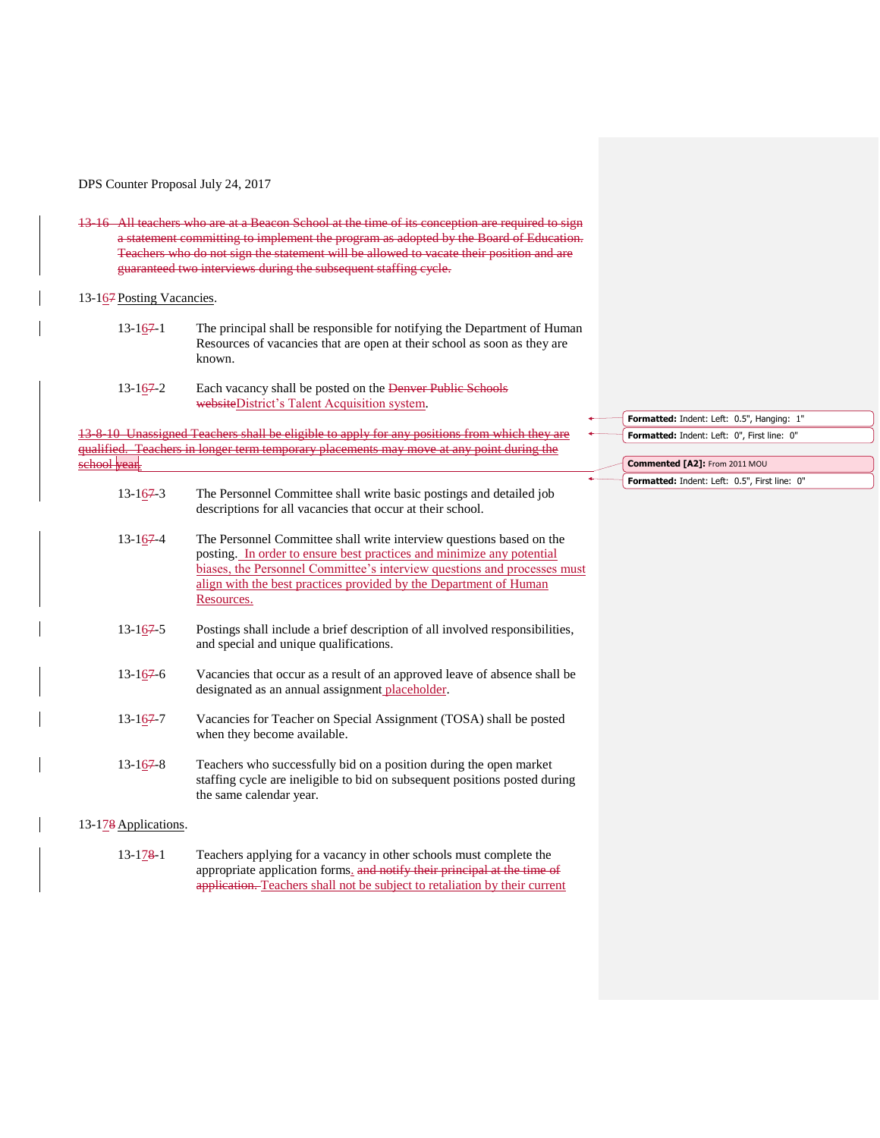13-16 All teachers who are at a Beacon School at the time of its conception are required to sign a statement committing to implement the program as adopted by the Board of Education. Teachers who do not sign the statement will be allowed to vacate their position and are guaranteed two interviews during the subsequent staffing cycle.

### 13-167 Posting Vacancies.

- $13-167-1$  The principal shall be responsible for notifying the Department of Human Resources of vacancies that are open at their school as soon as they are known.
- 13-1<u>6</u>7-2 Each vacancy shall be posted on the Denver Public Schools websiteDistrict's Talent Acquisition system.

13-8-10 Unassigned Teachers shall be eligible to apply for any positions from which they qualified. Teachers in longer term temporary placements may move at any point during the ehool vear.

- 13-167-3 The Personnel Committee shall write basic postings and detailed job descriptions for all vacancies that occur at their school.
- 13-167-4 The Personnel Committee shall write interview questions based on the posting. In order to ensure best practices and minimize any potential biases, the Personnel Committee's interview questions and processes must align with the best practices provided by the Department of Human Resources.
- 13-167-5 Postings shall include a brief description of all involved responsibilities, and special and unique qualifications.
- 13-167-6 Vacancies that occur as a result of an approved leave of absence shall be designated as an annual assignment placeholder.
- 13-1<u>6</u>7 Vacancies for Teacher on Special Assignment (TOSA) shall be posted when they become available.
- 13-1<u>6</u>7-8 Teachers who successfully bid on a position during the open market staffing cycle are ineligible to bid on subsequent positions posted during the same calendar year.

#### 13-178 Applications.

13-178-1 Teachers applying for a vacancy in other schools must complete the appropriate application forms. and notify their principal at the time of application. Teachers shall not be subject to retaliation by their current

- **Formatted:** Indent: Left: 0.5", Hanging: 1" **Formatted:** Indent: Left: 0", First line: 0"
	- **Commented [A2]:** From 2011 MOU
		- **Formatted:** Indent: Left: 0.5", First line: 0"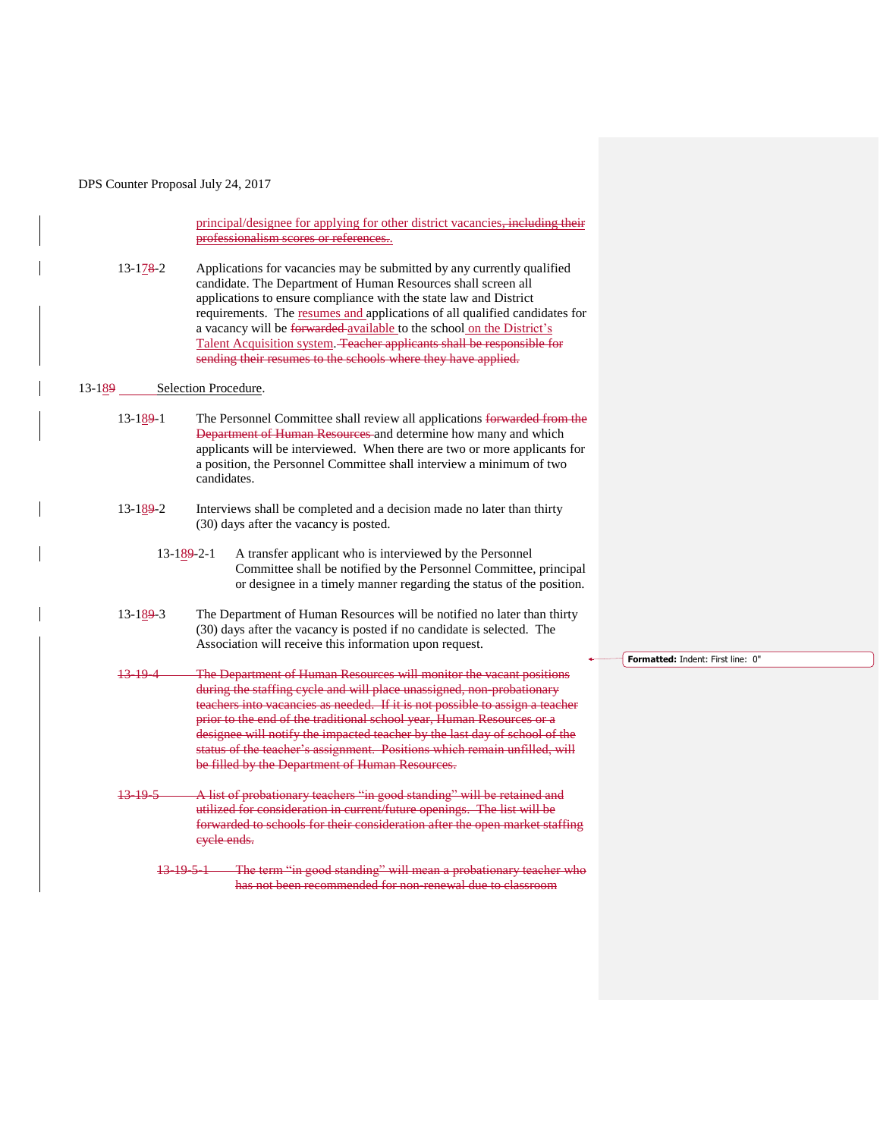principal/designee for applying for other district vacancies, including their professionalism scores or references..

13-178-2 Applications for vacancies may be submitted by any currently qualified candidate. The Department of Human Resources shall screen all applications to ensure compliance with the state law and District requirements. The resumes and applications of all qualified candidates for a vacancy will be forwarded available to the school on the District's Talent Acquisition system. Teacher applicants shall be responsible for sending their resumes to the schools where they have applied.

#### 13-189 Selection Procedure.

- 13-189-1 The Personnel Committee shall review all applications forwarded from the **Department of Human Resources** and determine how many and which applicants will be interviewed. When there are two or more applicants for a position, the Personnel Committee shall interview a minimum of two candidates.
- 13-189-2 Interviews shall be completed and a decision made no later than thirty (30) days after the vacancy is posted.
	- 13-189-2-1 A transfer applicant who is interviewed by the Personnel Committee shall be notified by the Personnel Committee, principal or designee in a timely manner regarding the status of the position.
- 13-189-3 The Department of Human Resources will be notified no later than thirty (30) days after the vacancy is posted if no candidate is selected. The Association will receive this information upon request.
- 13-19-4 The Department of Human Resources will monitor the vacant positions during the staffing cycle and will place unassigned, non-probationary teachers into vacancies as needed. If it is not possible to assign a teacher prior to the end of the traditional school year, Human Resources or a designee will notify the impacted teacher by the last day of school of the status of the teacher's assignment. Positions which remain unfilled, will be filled by the Department of Human Resources.
- 13-19-5 A list of probationary teachers "in good standing" will be retained and utilized for consideration in current/future openings. The list will be forwarded to schools for their consideration after the open market staffing cycle ends.
	- 13-19-5-1 The term "in good standing" will mean a probationary teacher who has not been recommended for non-renewal due to classroom

**Formatted:** Indent: First line: 0"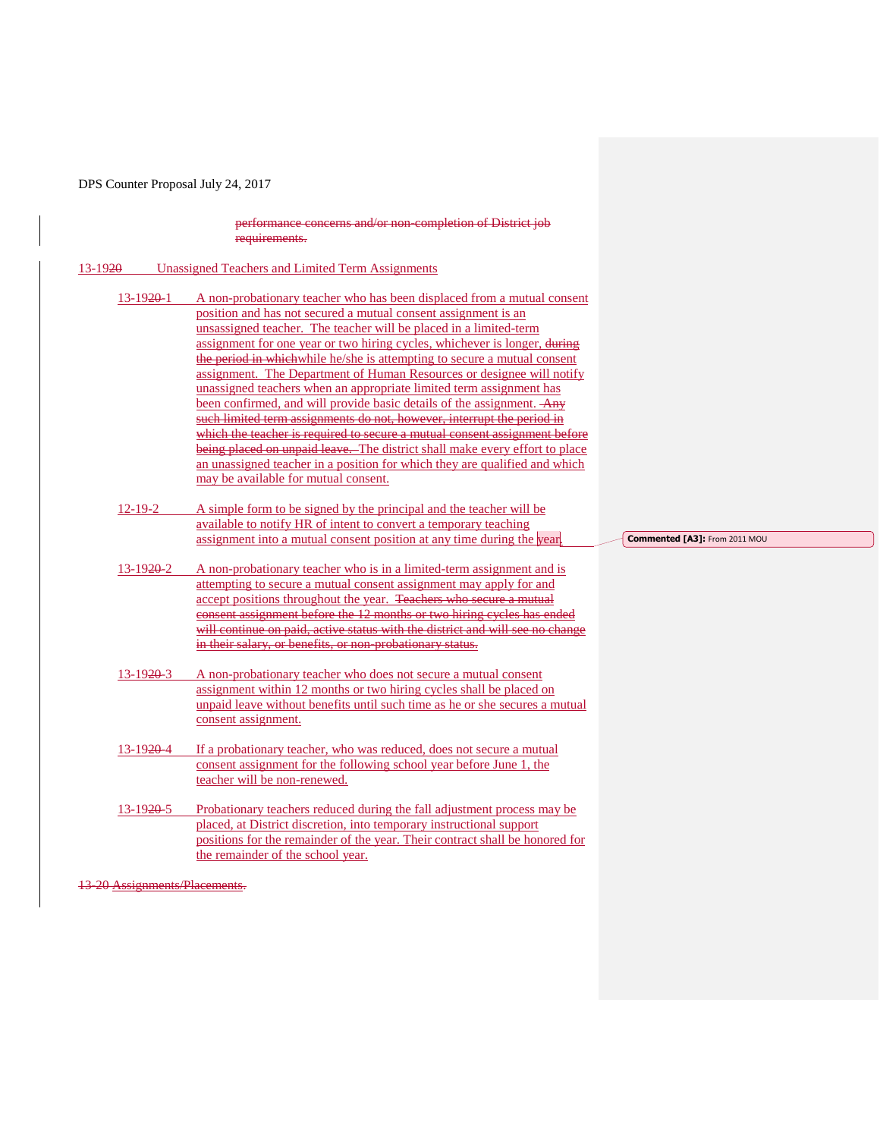performance concerns and/or non-completion of District job requirements.

| $13 - 1920$            | <b>Unassigned Teachers and Limited Term Assignments</b>                                                                                                                                                                                                                                                                                                                                                                                                                                                                                                                                                                                                                                                                                                                                                                                                                                                                                                        |     |
|------------------------|----------------------------------------------------------------------------------------------------------------------------------------------------------------------------------------------------------------------------------------------------------------------------------------------------------------------------------------------------------------------------------------------------------------------------------------------------------------------------------------------------------------------------------------------------------------------------------------------------------------------------------------------------------------------------------------------------------------------------------------------------------------------------------------------------------------------------------------------------------------------------------------------------------------------------------------------------------------|-----|
| $13-1920-1$            | A non-probationary teacher who has been displaced from a mutual consent<br>position and has not secured a mutual consent assignment is an<br>unsassigned teacher. The teacher will be placed in a limited-term<br>assignment for one year or two hiring cycles, whichever is longer, during<br>the period in which while he/she is attempting to secure a mutual consent<br>assignment. The Department of Human Resources or designee will notify<br>unassigned teachers when an appropriate limited term assignment has<br>been confirmed, and will provide basic details of the assignment. Any<br>such limited term assignments do not, however, interrupt the period in<br>which the teacher is required to secure a mutual consent assignment before<br>being placed on unpaid leave. The district shall make every effort to place<br>an unassigned teacher in a position for which they are qualified and which<br>may be available for mutual consent. |     |
| $12 - 19 - 2$          | A simple form to be signed by the principal and the teacher will be<br>available to notify HR of intent to convert a temporary teaching<br>assignment into a mutual consent position at any time during the year.                                                                                                                                                                                                                                                                                                                                                                                                                                                                                                                                                                                                                                                                                                                                              | Con |
| 13-1920-2              | A non-probationary teacher who is in a limited-term assignment and is<br>attempting to secure a mutual consent assignment may apply for and<br>accept positions throughout the year. Teachers who secure a mutual<br>consent assignment before the 12 months or two hiring cycles has ended<br>will continue on paid, active status with the district and will see no change<br>in their salary, or benefits, or non-probationary status.                                                                                                                                                                                                                                                                                                                                                                                                                                                                                                                      |     |
| $13 - 1920 - 3$        | A non-probationary teacher who does not secure a mutual consent<br>assignment within 12 months or two hiring cycles shall be placed on<br>unpaid leave without benefits until such time as he or she secures a mutual<br>consent assignment.                                                                                                                                                                                                                                                                                                                                                                                                                                                                                                                                                                                                                                                                                                                   |     |
| 13-19 <del>20</del> -4 | If a probationary teacher, who was reduced, does not secure a mutual<br>consent assignment for the following school year before June 1, the<br>teacher will be non-renewed.                                                                                                                                                                                                                                                                                                                                                                                                                                                                                                                                                                                                                                                                                                                                                                                    |     |
| 13-1920-5<br>10.001    | Probationary teachers reduced during the fall adjustment process may be<br>placed, at District discretion, into temporary instructional support<br>positions for the remainder of the year. Their contract shall be honored for<br>the remainder of the school year.<br>T <sub>0</sub>                                                                                                                                                                                                                                                                                                                                                                                                                                                                                                                                                                                                                                                                         |     |

**Commented [A3]:** From 2011 MOU

13-20 Assignments/Placements.